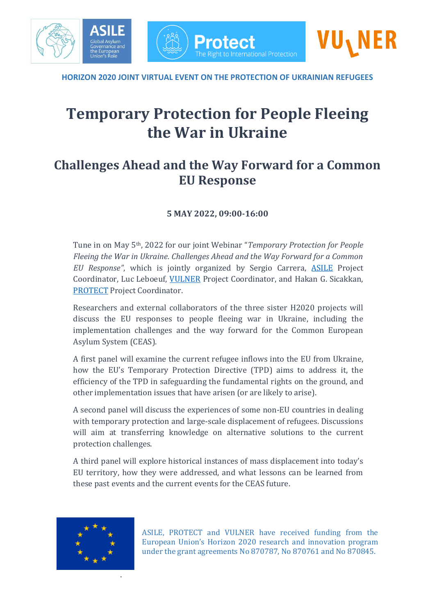

**HORIZON 2020 JOINT VIRTUAL EVENT ON THE PROTECTION OF UKRAINIAN REFUGEES**

# **Temporary Protection for People Fleeing the War in Ukraine**

### **Challenges Ahead and the Way Forward for a Common EU Response**

#### **5 MAY 2022, 09:00-16:00**

Tune in on May 5th, 2022 for our joint Webinar "*Temporary Protection for People Fleeing the War in Ukraine. Challenges Ahead and the Way Forward for a Common EU Response"*, which is jointly organized by Sergio Carrera, [ASILE](https://www.asileproject.eu/) Project Coordinator, Luc Leboeuf, [VULNER](https://www.vulner.eu/) Project Coordinator, and Hakan G. Sicakkan, [PROTECT](https://protect-project.eu/) Project Coordinator.

Researchers and external collaborators of the three sister H2020 projects will discuss the EU responses to people fleeing war in Ukraine, including the implementation challenges and the way forward for the Common European Asylum System (CEAS).

A first panel will examine the current refugee inflows into the EU from Ukraine, how the EU's Temporary Protection Directive (TPD) aims to address it, the efficiency of the TPD in safeguarding the fundamental rights on the ground, and other implementation issues that have arisen (or are likely to arise).

A second panel will discuss the experiences of some non-EU countries in dealing with temporary protection and large-scale displacement of refugees. Discussions will aim at transferring knowledge on alternative solutions to the current protection challenges.

A third panel will explore historical instances of mass displacement into today's EU territory, how they were addressed, and what lessons can be learned from these past events and the current events for the CEAS future.

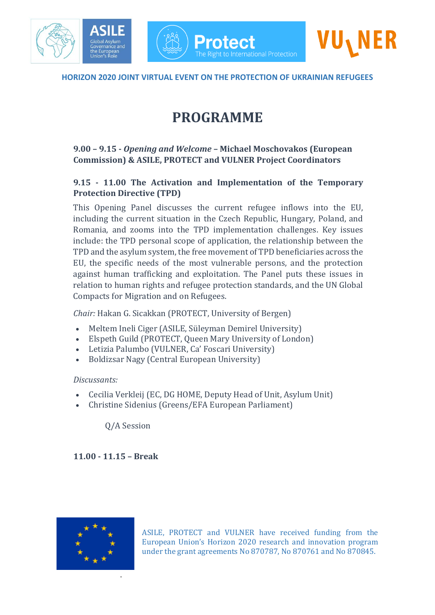

**Protect** 

The Right to International Protection

## **PROGRAMME**

#### **9.00 – 9.15 -** *Opening and Welcome* **– Michael Moschovakos (European Commission) & ASILE, PROTECT and VULNER Project Coordinators**

#### **9.15 - 11.00 The Activation and Implementation of the Temporary Protection Directive (TPD)**

This Opening Panel discusses the current refugee inflows into the EU, including the current situation in the Czech Republic, Hungary, Poland, and Romania, and zooms into the TPD implementation challenges. Key issues include: the TPD personal scope of application, the relationship between the TPD and the asylum system, the free movement of TPD beneficiaries across the EU, the specific needs of the most vulnerable persons, and the protection against human trafficking and exploitation. The Panel puts these issues in relation to human rights and refugee protection standards, and the UN Global Compacts for Migration and on Refugees.

*Chair:* Hakan G. Sicakkan (PROTECT, University of Bergen)

- Meltem Ineli Ciger (ASILE, Süleyman Demirel University)
- Elspeth Guild (PROTECT, Queen Mary University of London)
- Letizia Palumbo (VULNER, Ca' Foscari University)
- Boldizsar Nagy (Central European University)

#### *Discussants:*

- Cecilia Verkleij (EC, DG HOME, Deputy Head of Unit, Asylum Unit)
- Christine Sidenius (Greens/EFA European Parliament)

Q/A Session

**11.00 - 11.15 – Break**

.

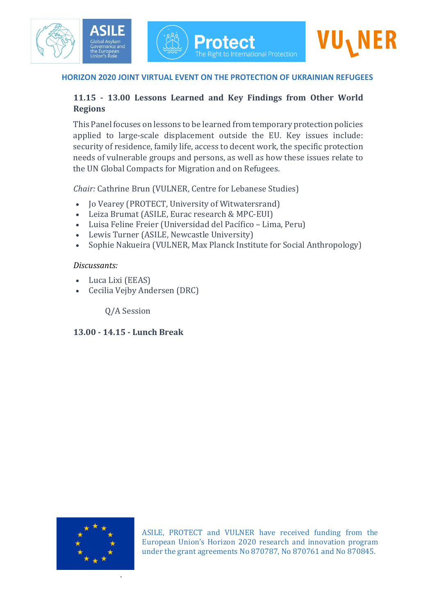#### **HORIZON 2020 JOINT VIRTUAL EVENT ON THE PROTECTION OF UKRAINIAN REFUGEES**

#### **11.15 - 13.00 Lessons Learned and Key Findings from Other World Regions**

This Panel focuses on lessons to be learned from temporary protection policies applied to large-scale displacement outside the EU. Key issues include: security of residence, family life, access to decent work, the specific protection needs of vulnerable groups and persons, as well as how these issues relate to the UN Global Compacts for Migration and on Refugees.

*Chair:* Cathrine Brun (VULNER, Centre for Lebanese Studies)

- Jo Vearey (PROTECT, University of Witwatersrand)
- Leiza Brumat (ASILE, Eurac research & MPC-EUI)
- Luisa Feline Freier (Universidad del Pacífico Lima, Peru)
- Lewis Turner (ASILE, Newcastle University)
- Sophie Nakueira (VULNER, Max Planck Institute for Social Anthropology)

#### *Discussants:*

- Luca Lixi (EEAS)
- Cecilia Vejby Andersen (DRC)

Q/A Session

#### **13.00 - 14.15 - Lunch Break**



.